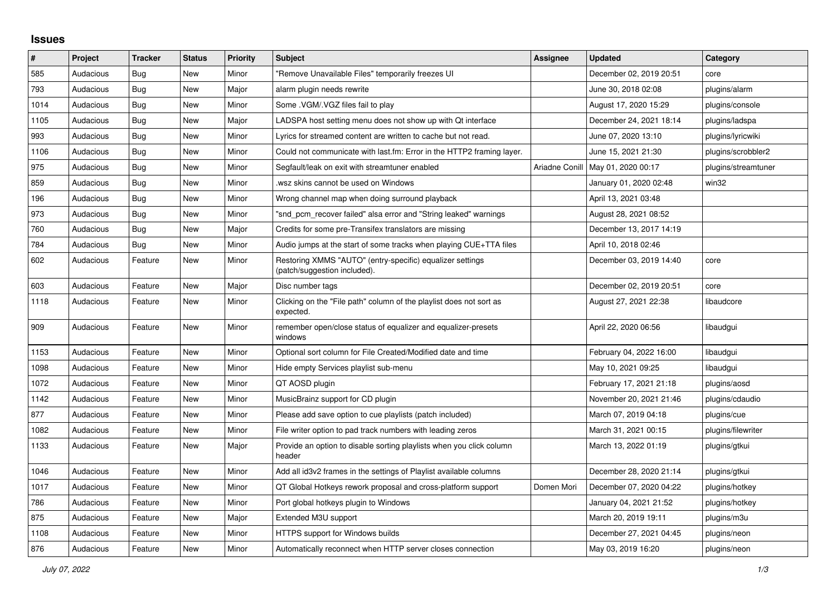## **Issues**

| ∦    | Project   | <b>Tracker</b> | <b>Status</b> | <b>Priority</b> | <b>Subject</b>                                                                            | <b>Assignee</b> | <b>Updated</b>          | Category            |
|------|-----------|----------------|---------------|-----------------|-------------------------------------------------------------------------------------------|-----------------|-------------------------|---------------------|
| 585  | Audacious | <b>Bug</b>     | <b>New</b>    | Minor           | "Remove Unavailable Files" temporarily freezes UI                                         |                 | December 02, 2019 20:51 | core                |
| 793  | Audacious | Bug            | New           | Major           | alarm plugin needs rewrite                                                                |                 | June 30, 2018 02:08     | plugins/alarm       |
| 1014 | Audacious | <b>Bug</b>     | <b>New</b>    | Minor           | Some . VGM/. VGZ files fail to play                                                       |                 | August 17, 2020 15:29   | plugins/console     |
| 1105 | Audacious | <b>Bug</b>     | <b>New</b>    | Major           | LADSPA host setting menu does not show up with Qt interface                               |                 | December 24, 2021 18:14 | plugins/ladspa      |
| 993  | Audacious | Bug            | <b>New</b>    | Minor           | Lyrics for streamed content are written to cache but not read.                            |                 | June 07, 2020 13:10     | plugins/lyricwiki   |
| 1106 | Audacious | <b>Bug</b>     | New           | Minor           | Could not communicate with last.fm: Error in the HTTP2 framing layer.                     |                 | June 15, 2021 21:30     | plugins/scrobbler2  |
| 975  | Audacious | <b>Bug</b>     | <b>New</b>    | Minor           | Segfault/leak on exit with streamtuner enabled                                            | Ariadne Conill  | May 01, 2020 00:17      | plugins/streamtuner |
| 859  | Audacious | Bug            | <b>New</b>    | Minor           | wsz skins cannot be used on Windows                                                       |                 | January 01, 2020 02:48  | win32               |
| 196  | Audacious | <b>Bug</b>     | <b>New</b>    | Minor           | Wrong channel map when doing surround playback                                            |                 | April 13, 2021 03:48    |                     |
| 973  | Audacious | Bug            | <b>New</b>    | Minor           | "snd pcm recover failed" alsa error and "String leaked" warnings                          |                 | August 28, 2021 08:52   |                     |
| 760  | Audacious | Bug            | <b>New</b>    | Major           | Credits for some pre-Transifex translators are missing                                    |                 | December 13, 2017 14:19 |                     |
| 784  | Audacious | <b>Bug</b>     | <b>New</b>    | Minor           | Audio jumps at the start of some tracks when playing CUE+TTA files                        |                 | April 10, 2018 02:46    |                     |
| 602  | Audacious | Feature        | New           | Minor           | Restoring XMMS "AUTO" (entry-specific) equalizer settings<br>(patch/suggestion included). |                 | December 03, 2019 14:40 | core                |
| 603  | Audacious | Feature        | <b>New</b>    | Major           | Disc number tags                                                                          |                 | December 02, 2019 20:51 | core                |
| 1118 | Audacious | Feature        | New           | Minor           | Clicking on the "File path" column of the playlist does not sort as<br>expected.          |                 | August 27, 2021 22:38   | libaudcore          |
| 909  | Audacious | Feature        | <b>New</b>    | Minor           | remember open/close status of equalizer and equalizer-presets<br>windows                  |                 | April 22, 2020 06:56    | libaudgui           |
| 1153 | Audacious | Feature        | <b>New</b>    | Minor           | Optional sort column for File Created/Modified date and time                              |                 | February 04, 2022 16:00 | libaudgui           |
| 1098 | Audacious | Feature        | <b>New</b>    | Minor           | Hide empty Services playlist sub-menu                                                     |                 | May 10, 2021 09:25      | libaudgui           |
| 1072 | Audacious | Feature        | <b>New</b>    | Minor           | QT AOSD plugin                                                                            |                 | February 17, 2021 21:18 | plugins/aosd        |
| 1142 | Audacious | Feature        | <b>New</b>    | Minor           | MusicBrainz support for CD plugin                                                         |                 | November 20, 2021 21:46 | plugins/cdaudio     |
| 877  | Audacious | Feature        | New           | Minor           | Please add save option to cue playlists (patch included)                                  |                 | March 07, 2019 04:18    | plugins/cue         |
| 1082 | Audacious | Feature        | <b>New</b>    | Minor           | File writer option to pad track numbers with leading zeros                                |                 | March 31, 2021 00:15    | plugins/filewriter  |
| 1133 | Audacious | Feature        | <b>New</b>    | Major           | Provide an option to disable sorting playlists when you click column<br>header            |                 | March 13, 2022 01:19    | plugins/gtkui       |
| 1046 | Audacious | Feature        | <b>New</b>    | Minor           | Add all id3v2 frames in the settings of Playlist available columns                        |                 | December 28, 2020 21:14 | plugins/gtkui       |
| 1017 | Audacious | Feature        | <b>New</b>    | Minor           | QT Global Hotkeys rework proposal and cross-platform support                              | Domen Mori      | December 07, 2020 04:22 | plugins/hotkey      |
| 786  | Audacious | Feature        | New           | Minor           | Port global hotkeys plugin to Windows                                                     |                 | January 04, 2021 21:52  | plugins/hotkey      |
| 875  | Audacious | Feature        | <b>New</b>    | Major           | Extended M3U support                                                                      |                 | March 20, 2019 19:11    | plugins/m3u         |
| 1108 | Audacious | Feature        | <b>New</b>    | Minor           | HTTPS support for Windows builds                                                          |                 | December 27, 2021 04:45 | plugins/neon        |
| 876  | Audacious | Feature        | <b>New</b>    | Minor           | Automatically reconnect when HTTP server closes connection                                |                 | May 03, 2019 16:20      | plugins/neon        |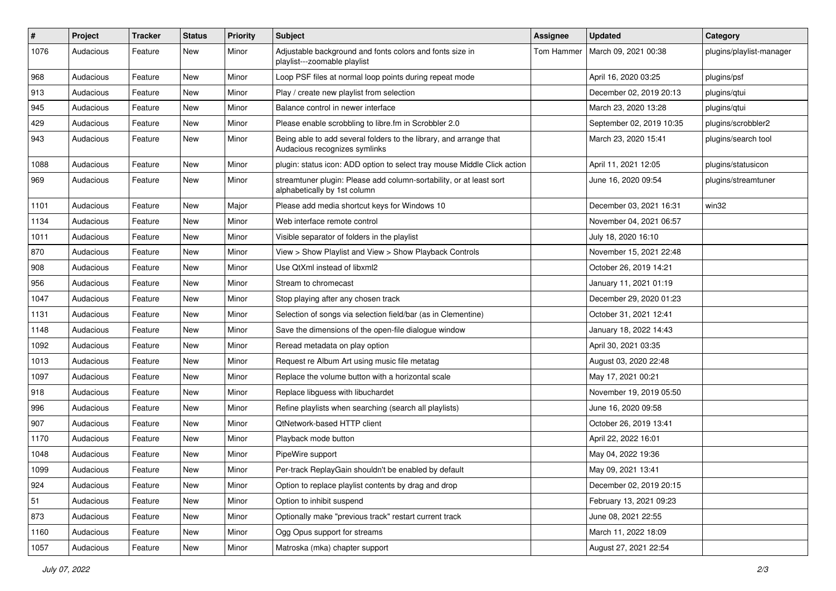| $\#$ | Project   | <b>Tracker</b> | <b>Status</b> | <b>Priority</b> | <b>Subject</b>                                                                                      | <b>Assignee</b> | <b>Updated</b>           | Category                 |
|------|-----------|----------------|---------------|-----------------|-----------------------------------------------------------------------------------------------------|-----------------|--------------------------|--------------------------|
| 1076 | Audacious | Feature        | New           | Minor           | Adjustable background and fonts colors and fonts size in<br>playlist---zoomable playlist            | Tom Hammer      | March 09, 2021 00:38     | plugins/playlist-manager |
| 968  | Audacious | Feature        | New           | Minor           | Loop PSF files at normal loop points during repeat mode                                             |                 | April 16, 2020 03:25     | plugins/psf              |
| 913  | Audacious | Feature        | New           | Minor           | Play / create new playlist from selection                                                           |                 | December 02, 2019 20:13  | plugins/qtui             |
| 945  | Audacious | Feature        | <b>New</b>    | Minor           | Balance control in newer interface                                                                  |                 | March 23, 2020 13:28     | plugins/qtui             |
| 429  | Audacious | Feature        | New           | Minor           | Please enable scrobbling to libre.fm in Scrobbler 2.0                                               |                 | September 02, 2019 10:35 | plugins/scrobbler2       |
| 943  | Audacious | Feature        | <b>New</b>    | Minor           | Being able to add several folders to the library, and arrange that<br>Audacious recognizes symlinks |                 | March 23, 2020 15:41     | plugins/search tool      |
| 1088 | Audacious | Feature        | <b>New</b>    | Minor           | plugin: status icon: ADD option to select tray mouse Middle Click action                            |                 | April 11, 2021 12:05     | plugins/statusicon       |
| 969  | Audacious | Feature        | New           | Minor           | streamtuner plugin: Please add column-sortability, or at least sort<br>alphabetically by 1st column |                 | June 16, 2020 09:54      | plugins/streamtuner      |
| 1101 | Audacious | Feature        | <b>New</b>    | Major           | Please add media shortcut keys for Windows 10                                                       |                 | December 03, 2021 16:31  | win32                    |
| 1134 | Audacious | Feature        | New           | Minor           | Web interface remote control                                                                        |                 | November 04, 2021 06:57  |                          |
| 1011 | Audacious | Feature        | New           | Minor           | Visible separator of folders in the playlist                                                        |                 | July 18, 2020 16:10      |                          |
| 870  | Audacious | Feature        | <b>New</b>    | Minor           | View > Show Playlist and View > Show Playback Controls                                              |                 | November 15, 2021 22:48  |                          |
| 908  | Audacious | Feature        | New           | Minor           | Use QtXml instead of libxml2                                                                        |                 | October 26, 2019 14:21   |                          |
| 956  | Audacious | Feature        | New           | Minor           | Stream to chromecast                                                                                |                 | January 11, 2021 01:19   |                          |
| 1047 | Audacious | Feature        | <b>New</b>    | Minor           | Stop playing after any chosen track                                                                 |                 | December 29, 2020 01:23  |                          |
| 1131 | Audacious | Feature        | New           | Minor           | Selection of songs via selection field/bar (as in Clementine)                                       |                 | October 31, 2021 12:41   |                          |
| 1148 | Audacious | Feature        | <b>New</b>    | Minor           | Save the dimensions of the open-file dialogue window                                                |                 | January 18, 2022 14:43   |                          |
| 1092 | Audacious | Feature        | New           | Minor           | Reread metadata on play option                                                                      |                 | April 30, 2021 03:35     |                          |
| 1013 | Audacious | Feature        | New           | Minor           | Request re Album Art using music file metatag                                                       |                 | August 03, 2020 22:48    |                          |
| 1097 | Audacious | Feature        | <b>New</b>    | Minor           | Replace the volume button with a horizontal scale                                                   |                 | May 17, 2021 00:21       |                          |
| 918  | Audacious | Feature        | New           | Minor           | Replace libguess with libuchardet                                                                   |                 | November 19, 2019 05:50  |                          |
| 996  | Audacious | Feature        | <b>New</b>    | Minor           | Refine playlists when searching (search all playlists)                                              |                 | June 16, 2020 09:58      |                          |
| 907  | Audacious | Feature        | New           | Minor           | QtNetwork-based HTTP client                                                                         |                 | October 26, 2019 13:41   |                          |
| 1170 | Audacious | Feature        | New           | Minor           | Playback mode button                                                                                |                 | April 22, 2022 16:01     |                          |
| 1048 | Audacious | Feature        | <b>New</b>    | Minor           | PipeWire support                                                                                    |                 | May 04, 2022 19:36       |                          |
| 1099 | Audacious | Feature        | New           | Minor           | Per-track ReplayGain shouldn't be enabled by default                                                |                 | May 09, 2021 13:41       |                          |
| 924  | Audacious | Feature        | New           | Minor           | Option to replace playlist contents by drag and drop                                                |                 | December 02, 2019 20:15  |                          |
| 51   | Audacious | Feature        | New           | Minor           | Option to inhibit suspend                                                                           |                 | February 13, 2021 09:23  |                          |
| 873  | Audacious | Feature        | New           | Minor           | Optionally make "previous track" restart current track                                              |                 | June 08, 2021 22:55      |                          |
| 1160 | Audacious | Feature        | New           | Minor           | Ogg Opus support for streams                                                                        |                 | March 11, 2022 18:09     |                          |
| 1057 | Audacious | Feature        | New           | Minor           | Matroska (mka) chapter support                                                                      |                 | August 27, 2021 22:54    |                          |